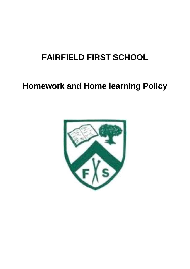# **FAIRFIELD FIRST SCHOOL**

# **Homework and Home learning Policy**

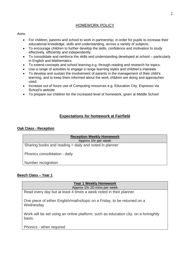# HOMEWORK POLICY

## Aims:

- For children, parents and school to work in partnership, in order for pupils to increase their educational knowledge, skills and understanding, across a variety of subjects.
- To encourage children to further develop the skills, confidence and motivation to study effectively, efficiently and independently.
- To consolidate and reinforce the skills and understanding developed at school particularly in English and Mathematics
- To extend concepts and school learning e.g. through reading and research for topics.
- Use a range of activities to engage a range learning styles and children's interests.
- To develop and sustain the involvement of parents in the management of their child's learning, and to keep them informed about the work children are doing and approaches used.
- Increase out of hours use of Computing resources e.g. Education City, Espresso via School's website
- To prepare our children for the increased level of homework, given at Middle School

# **Expectations for homework at Fairfield**

## **Oak Class - Reception**

| <b>Reception Weekly Homework</b>                       |  |  |  |  |
|--------------------------------------------------------|--|--|--|--|
| Approx 1hr per week                                    |  |  |  |  |
| Sharing books and reading = daily and noted in planner |  |  |  |  |
| Phonics consolidation - daily                          |  |  |  |  |
| Number recognition                                     |  |  |  |  |

## **Beech Class – Year 1**

| <b>Year 1 Weekly Homework</b>                                                                 |  |  |  |  |
|-----------------------------------------------------------------------------------------------|--|--|--|--|
| Approx 1hr 20 mins per week                                                                   |  |  |  |  |
| Read every day but at least 4 times a week noted in their planner.                            |  |  |  |  |
| One piece of either English/maths/topic on a Friday, to be returned on a<br>Wednesday         |  |  |  |  |
| Work will be set using an online platform, such as education city, on a fortnightly<br>basis. |  |  |  |  |
| Phonics - when required                                                                       |  |  |  |  |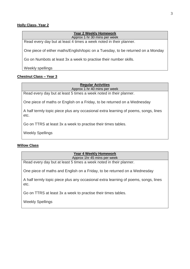## **Holly Class- Year 2**

#### **Year 2 Weekly Homework** Approx 1 hr 30 mins per week

Read every day but at least 4 times a week noted in their planner.

One piece of either maths/English/topic on a Tuesday, to be returned on a Monday

Go on Numbots at least 3x a week to practise their number skills.

Weekly spellings

# **Chestnut Class – Year 3**

**Regular Activities** 

Approx 1 hr 40 mins per week

Read every day but at least 5 times a week noted in their planner.

One piece of maths or English on a Friday, to be returned on a Wednesday

A half termly topic piece plus any occasional extra learning of poems, songs, lines etc.

Go on TTRS at least 3x a week to practise their times tables.

Weekly Spellings

## **Willow Class**

## **Year 4 Weekly Homework** Approx 1hr 45 mins per week

Read every day but at least 5 times a week noted in their planner.

One piece of maths and English on a Friday, to be returned on a Wednesday

A half termly topic piece plus any occasional extra learning of poems, songs, lines etc.

Go on TTRS at least 3x a week to practise their times tables.

Weekly Spellings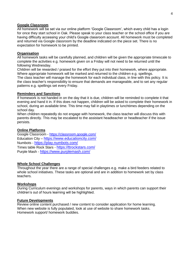#### **Google Classroom**

All homework will be set via our online platform 'Google Classroom', which every child has a login for once they start school in Oak. Please speak to your class teacher or the school office if you are having difficulty accessing your child's Google classroom account. All homework must be completed and returned via Google classroom by the deadline indicated on the piece set. There is no expectation for homework to be printed.

#### **Organisation**

All homework tasks will be carefully planned, and children will be given the appropriate timescale to complete the activities e.g. homework given on a Friday will not need to be returned until the following Wednesday.

Children will be rewarded / praised for the effort they put into their homework, where appropriate. Where appropriate homework will be marked and returned to the children e.g. spellings. The class teacher will manage the homework for each individual class, in line with this policy. It is

the class teacher's responsibility to ensure that demands are manageable, and to set any regular patterns e.g. spellings set every Friday.

#### **Reminders and Sanctions**

If homework is not handed in on the day that it is due, children will be reminded to complete it that evening and hand it in. If this does not happen, children will be asked to complete their homework in school, during an available time. This time may fall in playtimes or lunchtimes depending on the school day.

When children repeatedly do not engage with homework, the class teacher will discuss this with parents directly. This may be escalated to the assistant headteacher or headteacher if the issue persists.

#### **Online Platforms**

Google Classroom - <https://classroom.google.com/> Education City – <https://www.educationcity.com/> Numbots - <https://play.numbots.com/> Times table Rock Stars - <https://ttrockstars.com/> Purple Mash - <https://www.purplemash.com/>

#### **Whole School Challenges**

Throughout the year there are a range of special challenges e.g. make a bird feeders related to whole school initiatives. These tasks are optional and are in addition to homework set by class teachers.

#### **Workshops**

During Curriculum evenings and workshops for parents, ways in which parents can support their children's out of hours learning will be highlighted.

#### **Future Developments**

Review online content purchased / new content to consider application for home learning. When new website is fully populated, look at use of website to share homework tasks. Homework support/ homework buddies.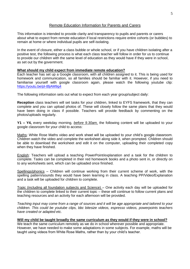## Remote Education Information for Parents and Carers

This information is intended to provide clarity and transparency to pupils and parents or carers about what to expect from remote education if local restrictions require entire cohorts (or bubbles) to remain at home or where individual pupils are self-isolating.

In the event of closure, either a class bubble or whole school, or if you have children isolating after a positive test, the following process is what each class teacher will follow in order for us to continue to provide our children with the same level of education as they would have if they were in school, as set out by the government.

## **What should my child expect from immediate remote education?**

Each teacher has set up a Google classroom, with all children assigned to it. This is being used for homework and communication, so all families should be familiar with it. However, if you need to familiarise yourself with google classroom again, please watch the following youtube clip: <https://youtu.be/pl-tBjAM9g4>

The following information sets out what to expect from each year group/subject daily:

**Reception** class teachers will set tasks for your children, linked to EYFS framework, that they can complete and you can upload photos of. These will closely follow the same plans that they would have been doing in class if possible. Teachers will provide feedback by commenting on the photos/uploads regularly.

**Y1 – Y4,** every weekday morning, *before 9.30am,* the following content will be uploaded to your google classroom for your child to access:

Maths: White Rose Maths video and work sheet will be uploaded to your child's google classroom. Children watch the video and complete the worksheet along side it, when prompted. Children should be able to download the worksheet and edit it on the computer, uploading their completed copy when they have finished.

English: Teachers will upload a teaching PowerPoint/explanation and a task for the children to complete. Tasks can be completed in their red homework books and a photo sent in, or directly on to any worksheets sent, which can be uploaded once finished.

Spellings/phonics – Children will continue working from their current scheme of work, with the spelling pattern/sounds they would have been learning in class. A teaching PP/Video/Explanation and a task will be uploaded for children to complete.

Topic (including all foundation subjects and Science) – One activity each day will be uploaded for the children to complete linked to their current topic – these will continue to follow current plans and teaching resources and an activity for each afternoon will be provided.

*Teaching input may come from a range of sources and it will be age appropriate and tailored to your children. This could be youtube clips, bbc bitesize videos, espresso videos, powerpoints teachers have created or adapted etc.* 

**Will my child be taught broadly the same curriculum as they would if they were in school?** We teach the same curriculum remotely as we do in school wherever possible and appropriate. However, we have needed to make some adaptations in some subjects. For example, maths will be taught using videos from White Rose Maths, rather than by your child's teacher.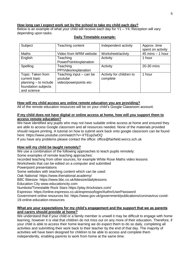## **How long can I expect work set by the school to take my child each day?**

Below is an example of what your child will receive each day for Y1 – Y4. Reception will vary depending upon tasks.

| Subject               | Teaching content          | Independent activity     | Approx. time        |
|-----------------------|---------------------------|--------------------------|---------------------|
|                       |                           |                          | spent on activity   |
| <b>Maths</b>          | Video from WRM website    | Worksheet/activty        | $45$ mins $-1$ hour |
| English               | Teaching                  | Activity                 | 1 hour              |
|                       | PowerPoint/explanation    |                          |                     |
| Spelling              | Teaching                  | Activity                 | 20-30 mins          |
|                       | PP/Video/explanation      |                          |                     |
| Topic: Taken from     | Teaching input $-$ can be | Activity for children to | 1 hour              |
| current topic         | youtube                   | complete                 |                     |
| planning - to include | video/powerpoints etc-    |                          |                     |
| foundation subjects   |                           |                          |                     |
| and science           |                           |                          |                     |

# **Daily Timetable example:**

# **How will my child access any online remote education you are providing?**

All of the remote education resources will be on your child's Google Classroom account.

## **If my child does not have digital or online access at home, how will you support them to access remote education?**

We have identified any pupils who may not have suitable online access at home and ensured they are able to access Google classroom and all resources needed. None of the materials provided should require printing. A tutorial on how to submit work back onto google classroom can be found here:<https://www.youtube.com/watch?v=-lrTEup2wDQ>

If you have any problems please contact the office: [office@fairfield.worcs.sch.uk](mailto:office@fairfield.worcs.sch.uk)

## **How will my child be taught remotely?**

We use a combination of the following approaches to teach pupils remotely:

Some examples of remote teaching approaches:

recorded teaching from other sources, for example White Rose Maths video lessons

Worksheets that can be edited on a computer and submitted

Powerpoint presentations

Some websites with teaching content which can be used:

Oak National: https://www.thenational.academy/

BBC Bitesize:<https://www.bbc.co.uk/bitesize/dailylessons>

Education City [www.educationcity.com](http://www.educationcity.com/)

Numbots/Timestable Rock Stars<https://play.ttrockstars.com/>

Espresso:<https://online.espresso.co.uk/espresso/login/Authn/UserPassword>

Government online resources list: [https://www.gov.uk/government/publications/coronavirus-covid-](https://www.gov.uk/government/publications/coronavirus-covid-19-online-education-resources)[19-online-education-resources](https://www.gov.uk/government/publications/coronavirus-covid-19-online-education-resources)

## **What are your expectations for my child's engagement and the support that we as parents and carers should provide at home?**

We understand that if your child or a family member is unwell it may be difficult to engage with home learning, however it is vital that children do not miss out on any more of their education. Therefore, if your child is able to access their home learning we do expect them to do so daily, completing all activities and submitting their work back to their teacher by the end of that day. The majority of activities will have been designed for children to be able to access and complete them independently, enabling parents to work from home at the same time.